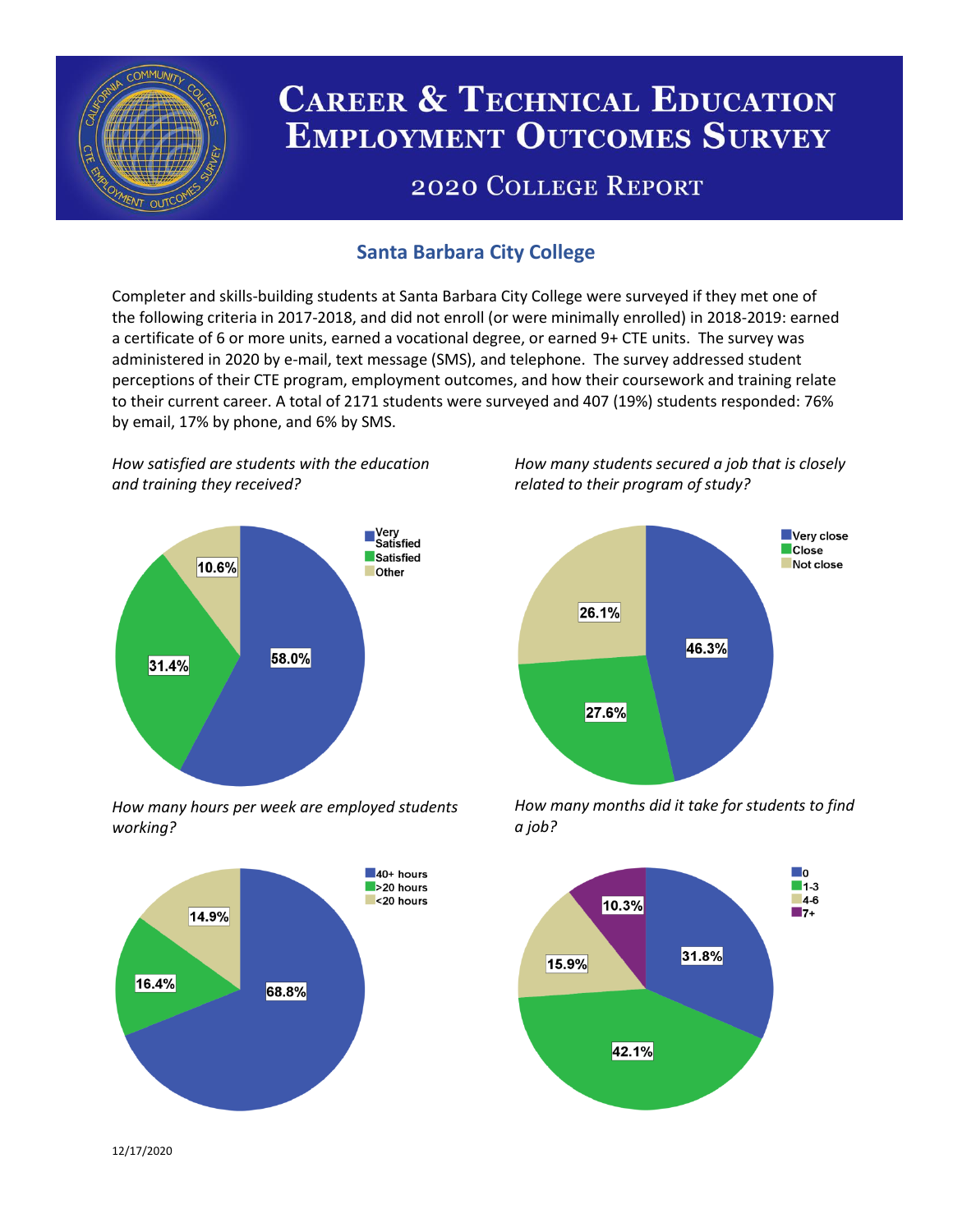

# **CAREER & TECHNICAL EDUCATION EMPLOYMENT OUTCOMES SURVEY**

## **2020 COLLEGE REPORT**

## **Santa Barbara City College**

Completer and skills-building students at Santa Barbara City College were surveyed if they met one of the following criteria in 2017-2018, and did not enroll (or were minimally enrolled) in 2018-2019: earned a certificate of 6 or more units, earned a vocational degree, or earned 9+ CTE units. The survey was administered in 2020 by e-mail, text message (SMS), and telephone. The survey addressed student perceptions of their CTE program, employment outcomes, and how their coursework and training relate to their current career. A total of 2171 students were surveyed and 407 (19%) students responded: 76% by email, 17% by phone, and 6% by SMS.

*How satisfied are students with the education and training they received?*



*How many hours per week are employed students working?*



*How many students secured a job that is closely related to their program of study?*



*How many months did it take for students to find a job?*



12/17/2020